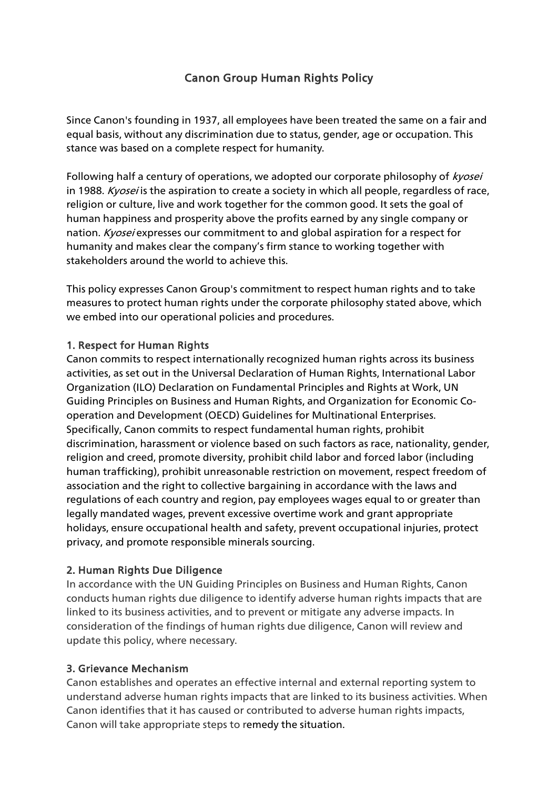# Canon Group Human Rights Policy

Since Canon's founding in 1937, all employees have been treated the same on a fair and equal basis, without any discrimination due to status, gender, age or occupation. This stance was based on a complete respect for humanity.

Following half a century of operations, we adopted our corporate philosophy of *kyosei* in 1988. Kvosei is the aspiration to create a society in which all people, regardless of race, religion or culture, live and work together for the common good. It sets the goal of human happiness and prosperity above the profits earned by any single company or nation. Kyosei expresses our commitment to and global aspiration for a respect for humanity and makes clear the company's firm stance to working together with stakeholders around the world to achieve this.

This policy expresses Canon Group's commitment to respect human rights and to take measures to protect human rights under the corporate philosophy stated above, which we embed into our operational policies and procedures.

## 1. Respect for Human Rights

Canon commits to respect internationally recognized human rights across its business activities, as set out in the Universal Declaration of Human Rights, International Labor Organization (ILO) Declaration on Fundamental Principles and Rights at Work, UN Guiding Principles on Business and Human Rights, and Organization for Economic Cooperation and Development (OECD) Guidelines for Multinational Enterprises. Specifically, Canon commits to respect fundamental human rights, prohibit discrimination, harassment or violence based on such factors as race, nationality, gender, religion and creed, promote diversity, prohibit child labor and forced labor (including human trafficking), prohibit unreasonable restriction on movement, respect freedom of association and the right to collective bargaining in accordance with the laws and regulations of each country and region, pay employees wages equal to or greater than legally mandated wages, prevent excessive overtime work and grant appropriate holidays, ensure occupational health and safety, prevent occupational injuries, protect privacy, and promote responsible minerals sourcing.

# 2. Human Rights Due Diligence

In accordance with the UN Guiding Principles on Business and Human Rights, Canon conducts human rights due diligence to identify adverse human rights impacts that are linked to its business activities, and to prevent or mitigate any adverse impacts. In consideration of the findings of human rights due diligence, Canon will review and update this policy, where necessary.

#### 3. Grievance Mechanism

Canon establishes and operates an effective internal and external reporting system to understand adverse human rights impacts that are linked to its business activities. When Canon identifies that it has caused or contributed to adverse human rights impacts, Canon will take appropriate steps to remedy the situation.